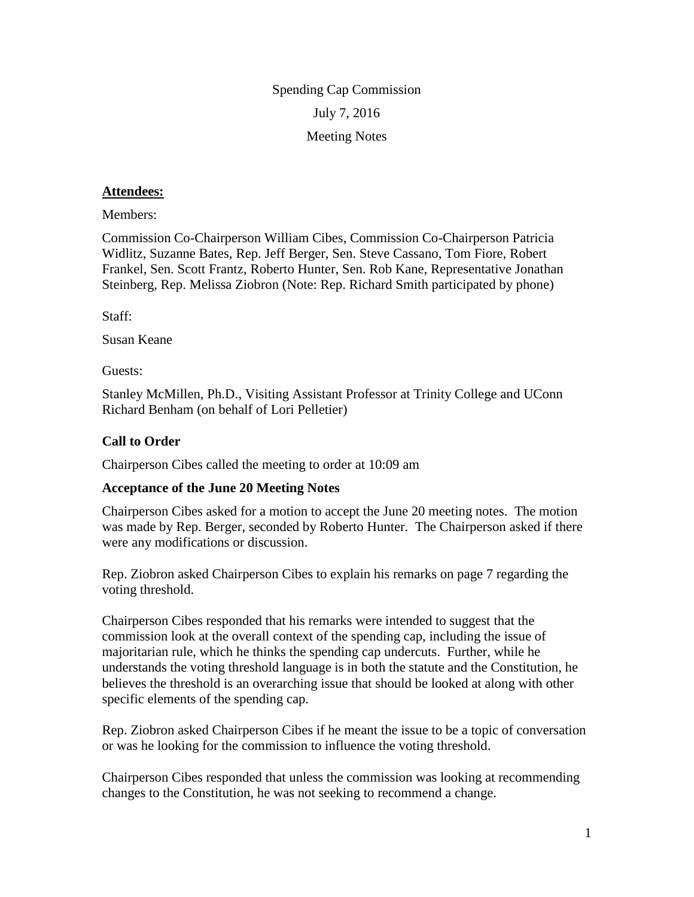Spending Cap Commission July 7, 2016 Meeting Notes

## **Attendees:**

Members:

Commission Co-Chairperson William Cibes, Commission Co-Chairperson Patricia Widlitz, Suzanne Bates, Rep. Jeff Berger, Sen. Steve Cassano, Tom Fiore, Robert Frankel, Sen. Scott Frantz, Roberto Hunter, Sen. Rob Kane, Representative Jonathan Steinberg, Rep. Melissa Ziobron (Note: Rep. Richard Smith participated by phone)

Staff:

Susan Keane

Guests:

Stanley McMillen, Ph.D., Visiting Assistant Professor at Trinity College and UConn Richard Benham (on behalf of Lori Pelletier)

## **Call to Order**

Chairperson Cibes called the meeting to order at 10:09 am

## **Acceptance of the June 20 Meeting Notes**

Chairperson Cibes asked for a motion to accept the June 20 meeting notes. The motion was made by Rep. Berger, seconded by Roberto Hunter. The Chairperson asked if there were any modifications or discussion.

Rep. Ziobron asked Chairperson Cibes to explain his remarks on page 7 regarding the voting threshold.

Chairperson Cibes responded that his remarks were intended to suggest that the commission look at the overall context of the spending cap, including the issue of majoritarian rule, which he thinks the spending cap undercuts. Further, while he understands the voting threshold language is in both the statute and the Constitution, he believes the threshold is an overarching issue that should be looked at along with other specific elements of the spending cap.

Rep. Ziobron asked Chairperson Cibes if he meant the issue to be a topic of conversation or was he looking for the commission to influence the voting threshold.

Chairperson Cibes responded that unless the commission was looking at recommending changes to the Constitution, he was not seeking to recommend a change.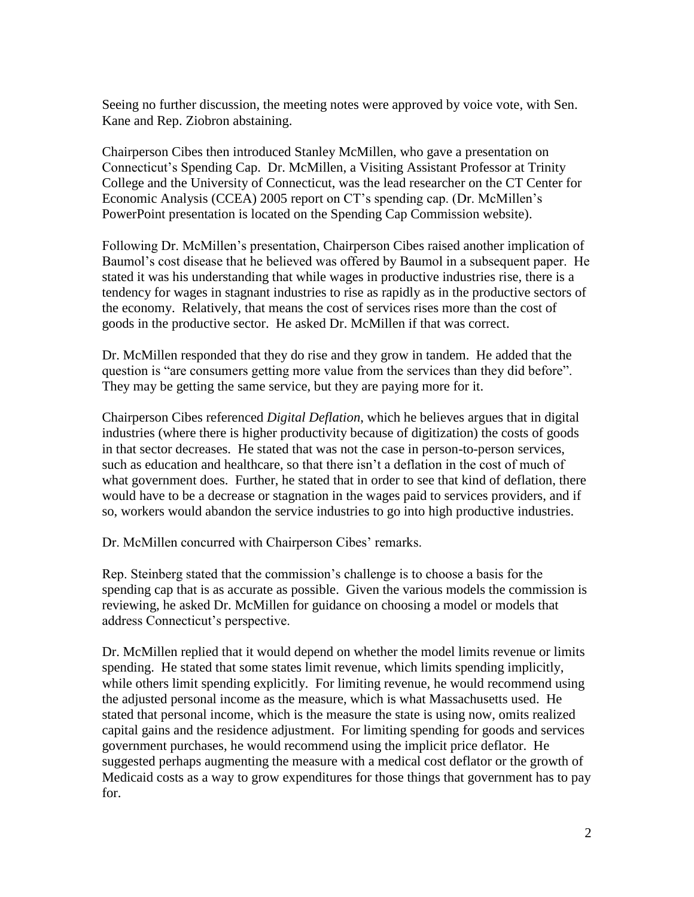Seeing no further discussion, the meeting notes were approved by voice vote, with Sen. Kane and Rep. Ziobron abstaining.

Chairperson Cibes then introduced Stanley McMillen, who gave a presentation on Connecticut's Spending Cap. Dr. McMillen, a Visiting Assistant Professor at Trinity College and the University of Connecticut, was the lead researcher on the CT Center for Economic Analysis (CCEA) 2005 report on CT's spending cap. (Dr. McMillen's PowerPoint presentation is located on the Spending Cap Commission website).

Following Dr. McMillen's presentation, Chairperson Cibes raised another implication of Baumol's cost disease that he believed was offered by Baumol in a subsequent paper. He stated it was his understanding that while wages in productive industries rise, there is a tendency for wages in stagnant industries to rise as rapidly as in the productive sectors of the economy. Relatively, that means the cost of services rises more than the cost of goods in the productive sector. He asked Dr. McMillen if that was correct.

Dr. McMillen responded that they do rise and they grow in tandem. He added that the question is "are consumers getting more value from the services than they did before". They may be getting the same service, but they are paying more for it.

Chairperson Cibes referenced *Digital Deflation*, which he believes argues that in digital industries (where there is higher productivity because of digitization) the costs of goods in that sector decreases. He stated that was not the case in person-to-person services, such as education and healthcare, so that there isn't a deflation in the cost of much of what government does. Further, he stated that in order to see that kind of deflation, there would have to be a decrease or stagnation in the wages paid to services providers, and if so, workers would abandon the service industries to go into high productive industries.

Dr. McMillen concurred with Chairperson Cibes' remarks.

Rep. Steinberg stated that the commission's challenge is to choose a basis for the spending cap that is as accurate as possible. Given the various models the commission is reviewing, he asked Dr. McMillen for guidance on choosing a model or models that address Connecticut's perspective.

Dr. McMillen replied that it would depend on whether the model limits revenue or limits spending. He stated that some states limit revenue, which limits spending implicitly, while others limit spending explicitly. For limiting revenue, he would recommend using the adjusted personal income as the measure, which is what Massachusetts used. He stated that personal income, which is the measure the state is using now, omits realized capital gains and the residence adjustment. For limiting spending for goods and services government purchases, he would recommend using the implicit price deflator. He suggested perhaps augmenting the measure with a medical cost deflator or the growth of Medicaid costs as a way to grow expenditures for those things that government has to pay for.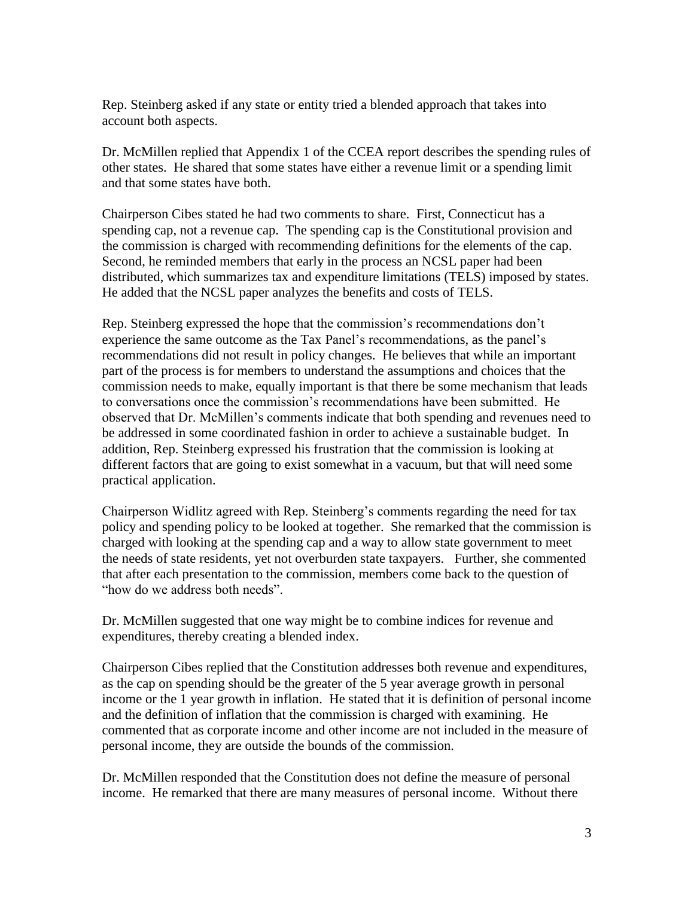Rep. Steinberg asked if any state or entity tried a blended approach that takes into account both aspects.

Dr. McMillen replied that Appendix 1 of the CCEA report describes the spending rules of other states. He shared that some states have either a revenue limit or a spending limit and that some states have both.

Chairperson Cibes stated he had two comments to share. First, Connecticut has a spending cap, not a revenue cap. The spending cap is the Constitutional provision and the commission is charged with recommending definitions for the elements of the cap. Second, he reminded members that early in the process an NCSL paper had been distributed, which summarizes tax and expenditure limitations (TELS) imposed by states. He added that the NCSL paper analyzes the benefits and costs of TELS.

Rep. Steinberg expressed the hope that the commission's recommendations don't experience the same outcome as the Tax Panel's recommendations, as the panel's recommendations did not result in policy changes. He believes that while an important part of the process is for members to understand the assumptions and choices that the commission needs to make, equally important is that there be some mechanism that leads to conversations once the commission's recommendations have been submitted. He observed that Dr. McMillen's comments indicate that both spending and revenues need to be addressed in some coordinated fashion in order to achieve a sustainable budget. In addition, Rep. Steinberg expressed his frustration that the commission is looking at different factors that are going to exist somewhat in a vacuum, but that will need some practical application.

Chairperson Widlitz agreed with Rep. Steinberg's comments regarding the need for tax policy and spending policy to be looked at together. She remarked that the commission is charged with looking at the spending cap and a way to allow state government to meet the needs of state residents, yet not overburden state taxpayers. Further, she commented that after each presentation to the commission, members come back to the question of "how do we address both needs".

Dr. McMillen suggested that one way might be to combine indices for revenue and expenditures, thereby creating a blended index.

Chairperson Cibes replied that the Constitution addresses both revenue and expenditures, as the cap on spending should be the greater of the 5 year average growth in personal income or the 1 year growth in inflation. He stated that it is definition of personal income and the definition of inflation that the commission is charged with examining. He commented that as corporate income and other income are not included in the measure of personal income, they are outside the bounds of the commission.

Dr. McMillen responded that the Constitution does not define the measure of personal income. He remarked that there are many measures of personal income. Without there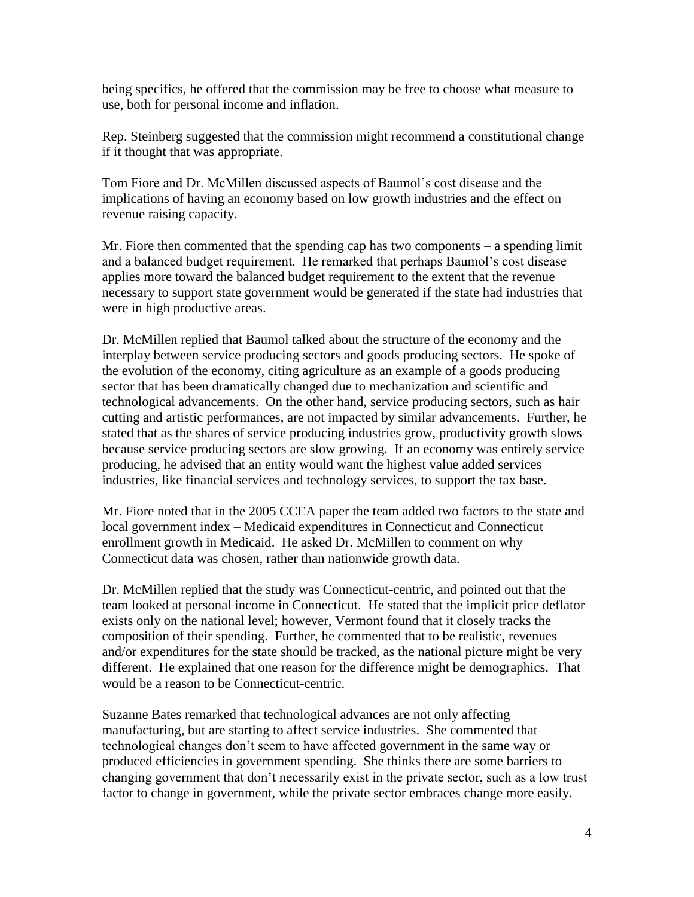being specifics, he offered that the commission may be free to choose what measure to use, both for personal income and inflation.

Rep. Steinberg suggested that the commission might recommend a constitutional change if it thought that was appropriate.

Tom Fiore and Dr. McMillen discussed aspects of Baumol's cost disease and the implications of having an economy based on low growth industries and the effect on revenue raising capacity.

Mr. Fiore then commented that the spending cap has two components – a spending limit and a balanced budget requirement. He remarked that perhaps Baumol's cost disease applies more toward the balanced budget requirement to the extent that the revenue necessary to support state government would be generated if the state had industries that were in high productive areas.

Dr. McMillen replied that Baumol talked about the structure of the economy and the interplay between service producing sectors and goods producing sectors. He spoke of the evolution of the economy, citing agriculture as an example of a goods producing sector that has been dramatically changed due to mechanization and scientific and technological advancements. On the other hand, service producing sectors, such as hair cutting and artistic performances, are not impacted by similar advancements. Further, he stated that as the shares of service producing industries grow, productivity growth slows because service producing sectors are slow growing. If an economy was entirely service producing, he advised that an entity would want the highest value added services industries, like financial services and technology services, to support the tax base.

Mr. Fiore noted that in the 2005 CCEA paper the team added two factors to the state and local government index – Medicaid expenditures in Connecticut and Connecticut enrollment growth in Medicaid. He asked Dr. McMillen to comment on why Connecticut data was chosen, rather than nationwide growth data.

Dr. McMillen replied that the study was Connecticut-centric, and pointed out that the team looked at personal income in Connecticut. He stated that the implicit price deflator exists only on the national level; however, Vermont found that it closely tracks the composition of their spending. Further, he commented that to be realistic, revenues and/or expenditures for the state should be tracked, as the national picture might be very different. He explained that one reason for the difference might be demographics. That would be a reason to be Connecticut-centric.

Suzanne Bates remarked that technological advances are not only affecting manufacturing, but are starting to affect service industries. She commented that technological changes don't seem to have affected government in the same way or produced efficiencies in government spending. She thinks there are some barriers to changing government that don't necessarily exist in the private sector, such as a low trust factor to change in government, while the private sector embraces change more easily.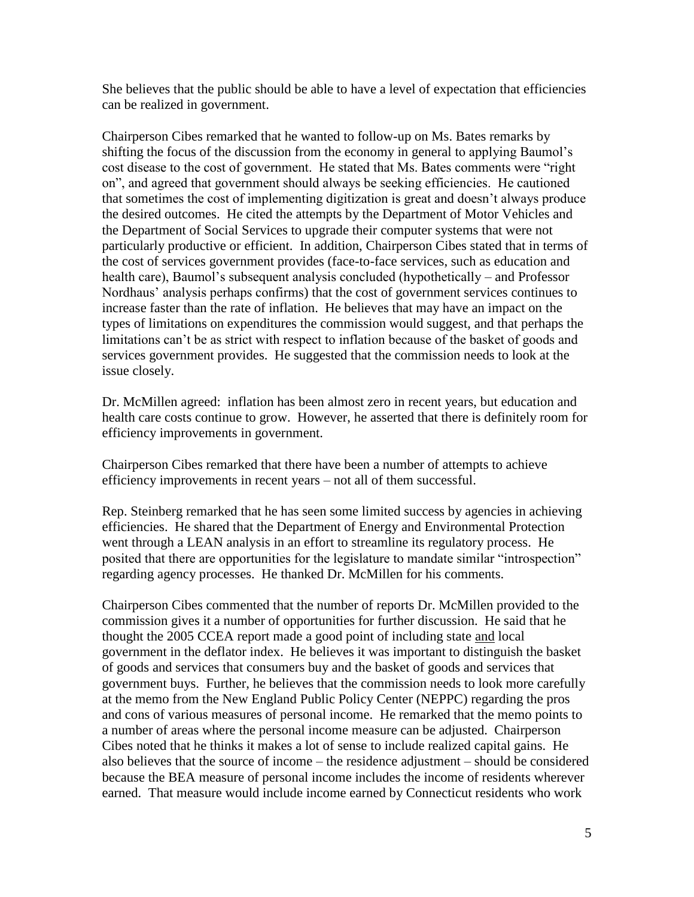She believes that the public should be able to have a level of expectation that efficiencies can be realized in government.

Chairperson Cibes remarked that he wanted to follow-up on Ms. Bates remarks by shifting the focus of the discussion from the economy in general to applying Baumol's cost disease to the cost of government. He stated that Ms. Bates comments were "right on", and agreed that government should always be seeking efficiencies. He cautioned that sometimes the cost of implementing digitization is great and doesn't always produce the desired outcomes. He cited the attempts by the Department of Motor Vehicles and the Department of Social Services to upgrade their computer systems that were not particularly productive or efficient. In addition, Chairperson Cibes stated that in terms of the cost of services government provides (face-to-face services, such as education and health care), Baumol's subsequent analysis concluded (hypothetically – and Professor Nordhaus' analysis perhaps confirms) that the cost of government services continues to increase faster than the rate of inflation. He believes that may have an impact on the types of limitations on expenditures the commission would suggest, and that perhaps the limitations can't be as strict with respect to inflation because of the basket of goods and services government provides. He suggested that the commission needs to look at the issue closely.

Dr. McMillen agreed: inflation has been almost zero in recent years, but education and health care costs continue to grow. However, he asserted that there is definitely room for efficiency improvements in government.

Chairperson Cibes remarked that there have been a number of attempts to achieve efficiency improvements in recent years – not all of them successful.

Rep. Steinberg remarked that he has seen some limited success by agencies in achieving efficiencies. He shared that the Department of Energy and Environmental Protection went through a LEAN analysis in an effort to streamline its regulatory process. He posited that there are opportunities for the legislature to mandate similar "introspection" regarding agency processes. He thanked Dr. McMillen for his comments.

Chairperson Cibes commented that the number of reports Dr. McMillen provided to the commission gives it a number of opportunities for further discussion. He said that he thought the 2005 CCEA report made a good point of including state and local government in the deflator index. He believes it was important to distinguish the basket of goods and services that consumers buy and the basket of goods and services that government buys. Further, he believes that the commission needs to look more carefully at the memo from the New England Public Policy Center (NEPPC) regarding the pros and cons of various measures of personal income. He remarked that the memo points to a number of areas where the personal income measure can be adjusted. Chairperson Cibes noted that he thinks it makes a lot of sense to include realized capital gains. He also believes that the source of income – the residence adjustment – should be considered because the BEA measure of personal income includes the income of residents wherever earned. That measure would include income earned by Connecticut residents who work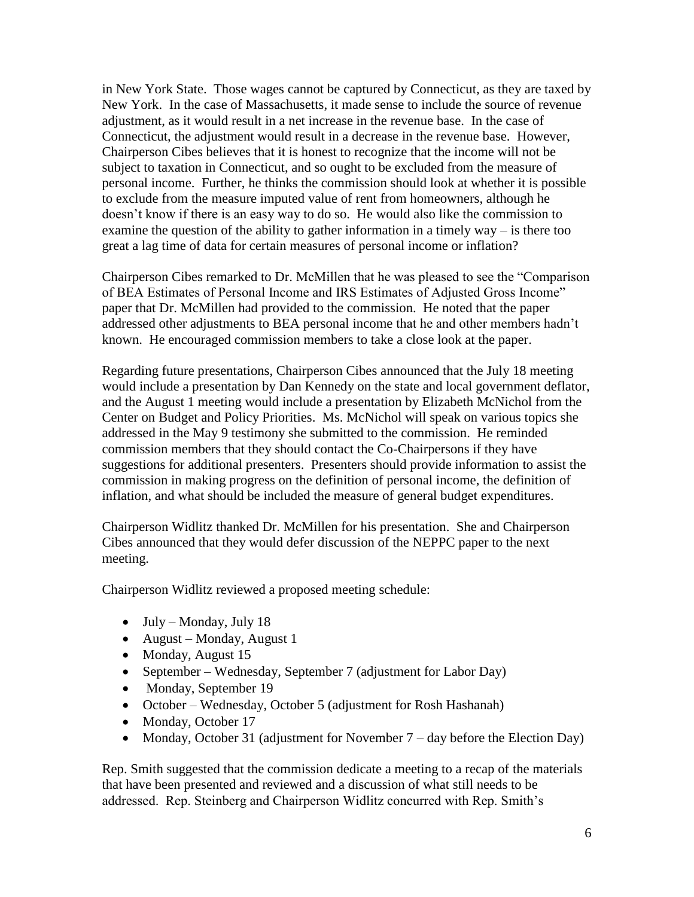in New York State. Those wages cannot be captured by Connecticut, as they are taxed by New York. In the case of Massachusetts, it made sense to include the source of revenue adjustment, as it would result in a net increase in the revenue base. In the case of Connecticut, the adjustment would result in a decrease in the revenue base. However, Chairperson Cibes believes that it is honest to recognize that the income will not be subject to taxation in Connecticut, and so ought to be excluded from the measure of personal income. Further, he thinks the commission should look at whether it is possible to exclude from the measure imputed value of rent from homeowners, although he doesn't know if there is an easy way to do so. He would also like the commission to examine the question of the ability to gather information in a timely way – is there too great a lag time of data for certain measures of personal income or inflation?

Chairperson Cibes remarked to Dr. McMillen that he was pleased to see the "Comparison of BEA Estimates of Personal Income and IRS Estimates of Adjusted Gross Income" paper that Dr. McMillen had provided to the commission. He noted that the paper addressed other adjustments to BEA personal income that he and other members hadn't known. He encouraged commission members to take a close look at the paper.

Regarding future presentations, Chairperson Cibes announced that the July 18 meeting would include a presentation by Dan Kennedy on the state and local government deflator, and the August 1 meeting would include a presentation by Elizabeth McNichol from the Center on Budget and Policy Priorities. Ms. McNichol will speak on various topics she addressed in the May 9 testimony she submitted to the commission. He reminded commission members that they should contact the Co-Chairpersons if they have suggestions for additional presenters. Presenters should provide information to assist the commission in making progress on the definition of personal income, the definition of inflation, and what should be included the measure of general budget expenditures.

Chairperson Widlitz thanked Dr. McMillen for his presentation. She and Chairperson Cibes announced that they would defer discussion of the NEPPC paper to the next meeting.

Chairperson Widlitz reviewed a proposed meeting schedule:

- $\bullet$  July Monday, July 18
- August Monday, August 1
- Monday, August 15
- September Wednesday, September 7 (adjustment for Labor Day)
- Monday, September 19
- October Wednesday, October 5 (adjustment for Rosh Hashanah)
- Monday, October 17
- Monday, October 31 (adjustment for November 7 day before the Election Day)

Rep. Smith suggested that the commission dedicate a meeting to a recap of the materials that have been presented and reviewed and a discussion of what still needs to be addressed. Rep. Steinberg and Chairperson Widlitz concurred with Rep. Smith's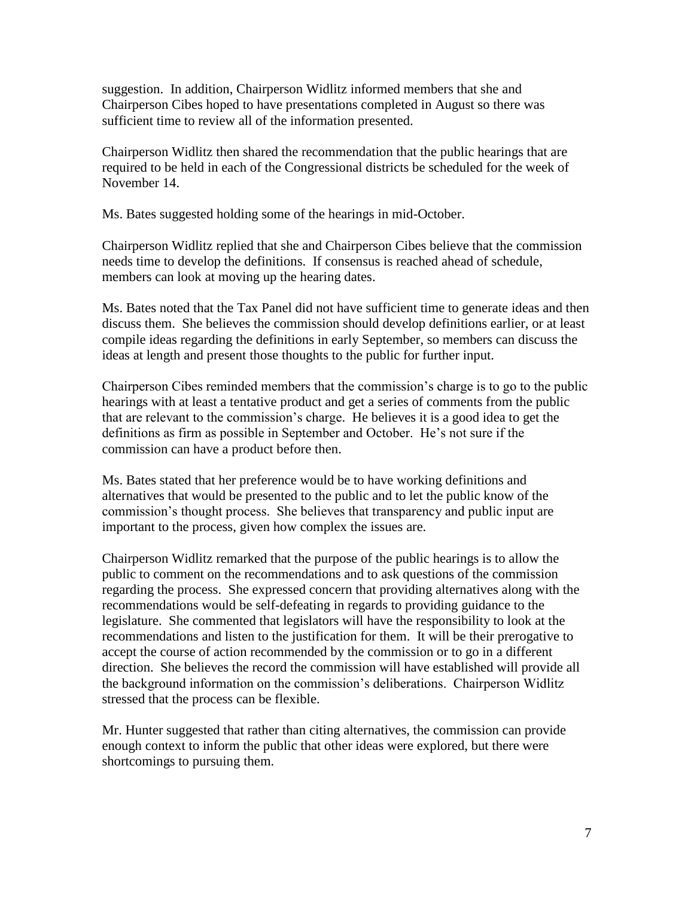suggestion. In addition, Chairperson Widlitz informed members that she and Chairperson Cibes hoped to have presentations completed in August so there was sufficient time to review all of the information presented.

Chairperson Widlitz then shared the recommendation that the public hearings that are required to be held in each of the Congressional districts be scheduled for the week of November 14.

Ms. Bates suggested holding some of the hearings in mid-October.

Chairperson Widlitz replied that she and Chairperson Cibes believe that the commission needs time to develop the definitions. If consensus is reached ahead of schedule, members can look at moving up the hearing dates.

Ms. Bates noted that the Tax Panel did not have sufficient time to generate ideas and then discuss them. She believes the commission should develop definitions earlier, or at least compile ideas regarding the definitions in early September, so members can discuss the ideas at length and present those thoughts to the public for further input.

Chairperson Cibes reminded members that the commission's charge is to go to the public hearings with at least a tentative product and get a series of comments from the public that are relevant to the commission's charge. He believes it is a good idea to get the definitions as firm as possible in September and October. He's not sure if the commission can have a product before then.

Ms. Bates stated that her preference would be to have working definitions and alternatives that would be presented to the public and to let the public know of the commission's thought process. She believes that transparency and public input are important to the process, given how complex the issues are.

Chairperson Widlitz remarked that the purpose of the public hearings is to allow the public to comment on the recommendations and to ask questions of the commission regarding the process. She expressed concern that providing alternatives along with the recommendations would be self-defeating in regards to providing guidance to the legislature. She commented that legislators will have the responsibility to look at the recommendations and listen to the justification for them. It will be their prerogative to accept the course of action recommended by the commission or to go in a different direction. She believes the record the commission will have established will provide all the background information on the commission's deliberations. Chairperson Widlitz stressed that the process can be flexible.

Mr. Hunter suggested that rather than citing alternatives, the commission can provide enough context to inform the public that other ideas were explored, but there were shortcomings to pursuing them.